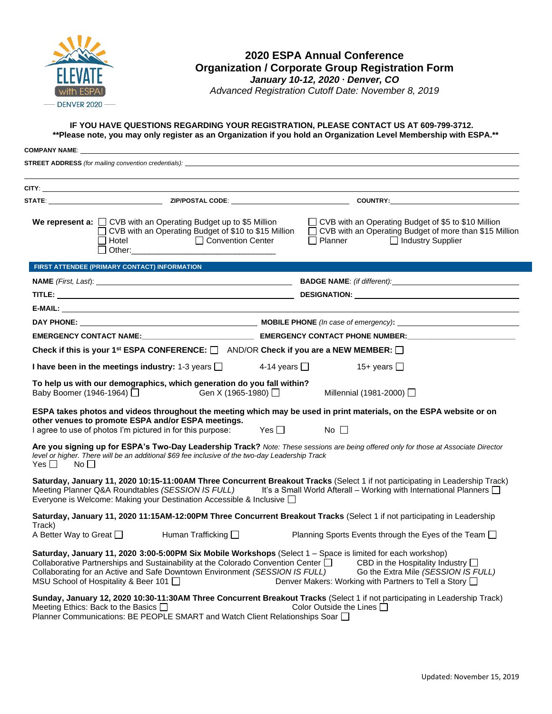

## **2020 ESPA Annual Conference Organization / Corporate Group Registration Form**

*January 10-12, 2020 ∙ Denver, CO Advanced Registration Cutoff Date: November 8, 2019*

## **IF YOU HAVE QUESTIONS REGARDING YOUR REGISTRATION, PLEASE CONTACT US AT 609-799-3712. \*\*Please note, you may only register as an Organization if you hold an Organization Level Membership with ESPA.\*\***

| <b>COMPANY NAME:</b> The company of the company of the company of the company of the company of the company of the company of the company of the company of the company of the company of the company of the company of the company |                                                                                                                                                                          |                       |                                                                                                                                                                                                                                                        |  |  |
|-------------------------------------------------------------------------------------------------------------------------------------------------------------------------------------------------------------------------------------|--------------------------------------------------------------------------------------------------------------------------------------------------------------------------|-----------------------|--------------------------------------------------------------------------------------------------------------------------------------------------------------------------------------------------------------------------------------------------------|--|--|
|                                                                                                                                                                                                                                     |                                                                                                                                                                          |                       | <b>STREET ADDRESS</b> (for mailing convention credentials): <b>State of the Contract Contract Contract Contract Contract Contract Contract Contract Contract Contract Contract Contract Contract Contract Contract Contract Contract </b>              |  |  |
|                                                                                                                                                                                                                                     |                                                                                                                                                                          |                       |                                                                                                                                                                                                                                                        |  |  |
|                                                                                                                                                                                                                                     |                                                                                                                                                                          |                       |                                                                                                                                                                                                                                                        |  |  |
|                                                                                                                                                                                                                                     |                                                                                                                                                                          |                       |                                                                                                                                                                                                                                                        |  |  |
| $\Box$ Hotel                                                                                                                                                                                                                        | We represent a: $\Box$ CVB with an Operating Budget up to \$5 Million<br>◯ CVB with an Operating Budget of \$10 to \$15 Million<br>Convention Center                     |                       | □ CVB with an Operating Budget of \$5 to \$10 Million<br>□ CVB with an Operating Budget of more than \$15 Million<br>$\Box$ Planner<br>□ Industry Supplier                                                                                             |  |  |
| FIRST ATTENDEE (PRIMARY CONTACT) INFORMATION                                                                                                                                                                                        |                                                                                                                                                                          |                       |                                                                                                                                                                                                                                                        |  |  |
|                                                                                                                                                                                                                                     |                                                                                                                                                                          |                       |                                                                                                                                                                                                                                                        |  |  |
|                                                                                                                                                                                                                                     |                                                                                                                                                                          |                       |                                                                                                                                                                                                                                                        |  |  |
|                                                                                                                                                                                                                                     |                                                                                                                                                                          |                       |                                                                                                                                                                                                                                                        |  |  |
|                                                                                                                                                                                                                                     |                                                                                                                                                                          |                       |                                                                                                                                                                                                                                                        |  |  |
|                                                                                                                                                                                                                                     |                                                                                                                                                                          |                       |                                                                                                                                                                                                                                                        |  |  |
|                                                                                                                                                                                                                                     | Check if this is your 1 <sup>st</sup> ESPA CONFERENCE: $\Box$ AND/OR Check if you are a NEW MEMBER: $\Box$                                                               |                       |                                                                                                                                                                                                                                                        |  |  |
| I have been in the meetings industry: 1-3 years $\Box$                                                                                                                                                                              |                                                                                                                                                                          | 4-14 years $\Box$     | 15+ years $\Box$                                                                                                                                                                                                                                       |  |  |
|                                                                                                                                                                                                                                     | To help us with our demographics, which generation do you fall within?<br>Baby Boomer (1946-1964) □ Gen X (1965-1980) □                                                  |                       | Millennial (1981-2000) □                                                                                                                                                                                                                               |  |  |
|                                                                                                                                                                                                                                     | other venues to promote ESPA and/or ESPA meetings.<br>I agree to use of photos I'm pictured in for this purpose:                                                         | $\mathsf{Yes} \ \Box$ | ESPA takes photos and videos throughout the meeting which may be used in print materials, on the ESPA website or on<br>No II                                                                                                                           |  |  |
| Yes $\Box$<br>$\mathsf{No} \ \Box$                                                                                                                                                                                                  | level or higher. There will be an additional \$69 fee inclusive of the two-day Leadership Track                                                                          |                       | Are you signing up for ESPA's Two-Day Leadership Track? Note: These sessions are being offered only for those at Associate Director                                                                                                                    |  |  |
|                                                                                                                                                                                                                                     | Everyone is Welcome: Making your Destination Accessible & Inclusive                                                                                                      |                       | Saturday, January 11, 2020 10:15-11:00AM Three Concurrent Breakout Tracks (Select 1 if not participating in Leadership Track)<br>Meeting Planner Q&A Roundtables (SESSION IS FULL) It's a Small World Afterall - Working with International Planners [ |  |  |
|                                                                                                                                                                                                                                     |                                                                                                                                                                          |                       | Saturday, January 11, 2020 11:15AM-12:00PM Three Concurrent Breakout Tracks (Select 1 if not participating in Leadership                                                                                                                               |  |  |
| Track)<br>A Better Way to Great $\Box$                                                                                                                                                                                              | Human Trafficking $\Box$                                                                                                                                                 |                       | Planning Sports Events through the Eyes of the Team □                                                                                                                                                                                                  |  |  |
| MSU School of Hospitality & Beer 101                                                                                                                                                                                                | Collaborative Partnerships and Sustainability at the Colorado Convention Center $\square$<br>Collaborating for an Active and Safe Downtown Environment (SESSION IS FULL) |                       | Saturday, January 11, 2020 3:00-5:00PM Six Mobile Workshops (Select 1 - Space is limited for each workshop)<br>CBD in the Hospitality Industry $\Box$<br>Go the Extra Mile (SESSION IS FULL)<br>Denver Makers: Working with Partners to Tell a Story □ |  |  |
| Meeting Ethics: Back to the Basics $\Box$                                                                                                                                                                                           | Planner Communications: BE PEOPLE SMART and Watch Client Relationships Soar □                                                                                            |                       | Sunday, January 12, 2020 10:30-11:30AM Three Concurrent Breakout Tracks (Select 1 if not participating in Leadership Track)<br>Color Outside the Lines $\Box$                                                                                          |  |  |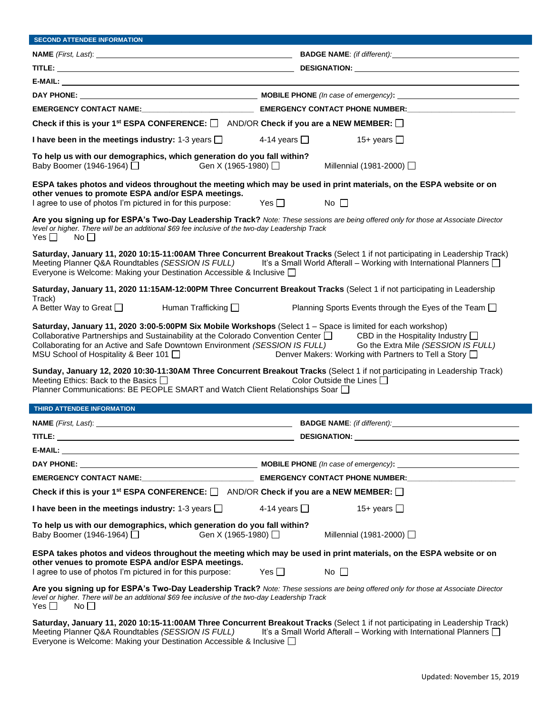| <b>SECOND ATTENDEE INFORMATION</b>                                                                                                                                                                                                                                                                                                                                                                                                                                         |                                                                                                                                                  |  |  |  |  |  |  |
|----------------------------------------------------------------------------------------------------------------------------------------------------------------------------------------------------------------------------------------------------------------------------------------------------------------------------------------------------------------------------------------------------------------------------------------------------------------------------|--------------------------------------------------------------------------------------------------------------------------------------------------|--|--|--|--|--|--|
|                                                                                                                                                                                                                                                                                                                                                                                                                                                                            |                                                                                                                                                  |  |  |  |  |  |  |
|                                                                                                                                                                                                                                                                                                                                                                                                                                                                            |                                                                                                                                                  |  |  |  |  |  |  |
|                                                                                                                                                                                                                                                                                                                                                                                                                                                                            |                                                                                                                                                  |  |  |  |  |  |  |
|                                                                                                                                                                                                                                                                                                                                                                                                                                                                            |                                                                                                                                                  |  |  |  |  |  |  |
|                                                                                                                                                                                                                                                                                                                                                                                                                                                                            | EMERGENCY CONTACT NAME: EMERGENCY CONTACT PHONE NUMBER: EMERGENCY CONTACT PHONE NUMBER:                                                          |  |  |  |  |  |  |
| Check if this is your 1 <sup>st</sup> ESPA CONFERENCE: $\Box$ AND/OR Check if you are a NEW MEMBER: $\Box$                                                                                                                                                                                                                                                                                                                                                                 |                                                                                                                                                  |  |  |  |  |  |  |
| I have been in the meetings industry: 1-3 years $\Box$                                                                                                                                                                                                                                                                                                                                                                                                                     | 4-14 years $\Box$<br>15+ years $\Box$                                                                                                            |  |  |  |  |  |  |
| To help us with our demographics, which generation do you fall within?<br>Gen X (1965-1980) □<br>Baby Boomer (1946-1964) □                                                                                                                                                                                                                                                                                                                                                 | Millennial (1981-2000) □                                                                                                                         |  |  |  |  |  |  |
| other venues to promote ESPA and/or ESPA meetings.<br>I agree to use of photos I'm pictured in for this purpose:                                                                                                                                                                                                                                                                                                                                                           | ESPA takes photos and videos throughout the meeting which may be used in print materials, on the ESPA website or on<br>Yes $\Box$<br>$No$ $\Box$ |  |  |  |  |  |  |
| Are you signing up for ESPA's Two-Day Leadership Track? Note: These sessions are being offered only for those at Associate Director<br>level or higher. There will be an additional \$69 fee inclusive of the two-day Leadership Track<br>Yes $\square$<br>$No$ $\Box$                                                                                                                                                                                                     |                                                                                                                                                  |  |  |  |  |  |  |
| Saturday, January 11, 2020 10:15-11:00AM Three Concurrent Breakout Tracks (Select 1 if not participating in Leadership Track)<br>Meeting Planner Q&A Roundtables (SESSION IS FULL) It's a Small World Afterall – Working with International Planners $\Box$<br>Everyone is Welcome: Making your Destination Accessible & Inclusive □                                                                                                                                       |                                                                                                                                                  |  |  |  |  |  |  |
| Saturday, January 11, 2020 11:15AM-12:00PM Three Concurrent Breakout Tracks (Select 1 if not participating in Leadership<br>Track)<br>A Better Way to Great $\Box$<br>Human Trafficking $\Box$<br>Planning Sports Events through the Eyes of the Team □                                                                                                                                                                                                                    |                                                                                                                                                  |  |  |  |  |  |  |
| Saturday, January 11, 2020 3:00-5:00PM Six Mobile Workshops (Select 1 - Space is limited for each workshop)<br>Collaborative Partnerships and Sustainability at the Colorado Convention Center $\square$ CBD in the Hospitality Industry $\square$<br>Collaborating for an Active and Safe Downtown Environment (SESSION IS FULL)<br>Go the Extra Mile (SESSION IS FULL)<br>MSU School of Hospitality & Beer 101<br>Denver Makers: Working with Partners to Tell a Story D |                                                                                                                                                  |  |  |  |  |  |  |
| Sunday, January 12, 2020 10:30-11:30AM Three Concurrent Breakout Tracks (Select 1 if not participating in Leadership Track)<br>Meeting Ethics: Back to the Basics $\Box$<br>Color Outside the Lines $\square$<br>Planner Communications: BE PEOPLE SMART and Watch Client Relationships Soar □                                                                                                                                                                             |                                                                                                                                                  |  |  |  |  |  |  |
| THIRD ATTENDEE INFORMATION                                                                                                                                                                                                                                                                                                                                                                                                                                                 |                                                                                                                                                  |  |  |  |  |  |  |
| NAME (First, Last):                                                                                                                                                                                                                                                                                                                                                                                                                                                        | BADGE NAME: (if different):                                                                                                                      |  |  |  |  |  |  |
| TITLE:                                                                                                                                                                                                                                                                                                                                                                                                                                                                     | <b>DESIGNATION:</b>                                                                                                                              |  |  |  |  |  |  |
|                                                                                                                                                                                                                                                                                                                                                                                                                                                                            |                                                                                                                                                  |  |  |  |  |  |  |
|                                                                                                                                                                                                                                                                                                                                                                                                                                                                            |                                                                                                                                                  |  |  |  |  |  |  |
|                                                                                                                                                                                                                                                                                                                                                                                                                                                                            |                                                                                                                                                  |  |  |  |  |  |  |
| Check if this is your 1 <sup>st</sup> ESPA CONFERENCE: $\Box$ AND/OR Check if you are a NEW MEMBER: $\Box$                                                                                                                                                                                                                                                                                                                                                                 |                                                                                                                                                  |  |  |  |  |  |  |
| I have been in the meetings industry: 1-3 years $\Box$                                                                                                                                                                                                                                                                                                                                                                                                                     | 15+ years $\Box$<br>4-14 years $\Box$                                                                                                            |  |  |  |  |  |  |
| To help us with our demographics, which generation do you fall within?<br>Baby Boomer (1946-1964) □<br>Gen X (1965-1980) □<br>Millennial (1981-2000) □                                                                                                                                                                                                                                                                                                                     |                                                                                                                                                  |  |  |  |  |  |  |
| ESPA takes photos and videos throughout the meeting which may be used in print materials, on the ESPA website or on<br>other venues to promote ESPA and/or ESPA meetings.<br>I agree to use of photos I'm pictured in for this purpose:<br>No $\square$<br>Yes $\Box$                                                                                                                                                                                                      |                                                                                                                                                  |  |  |  |  |  |  |
| Are you signing up for ESPA's Two-Day Leadership Track? Note: These sessions are being offered only for those at Associate Director<br>level or higher. There will be an additional \$69 fee inclusive of the two-day Leadership Track<br>Yes $\Box$<br>No                                                                                                                                                                                                                 |                                                                                                                                                  |  |  |  |  |  |  |
| Saturday, January 11, 2020 10:15-11:00AM Three Concurrent Breakout Tracks (Select 1 if not participating in Leadership Track)<br>It's a Small World Afterall - Working with International Planners $\Box$<br>Meeting Planner Q&A Roundtables (SESSION IS FULL)                                                                                                                                                                                                             |                                                                                                                                                  |  |  |  |  |  |  |

Everyone is Welcome: Making your Destination Accessible & Inclusive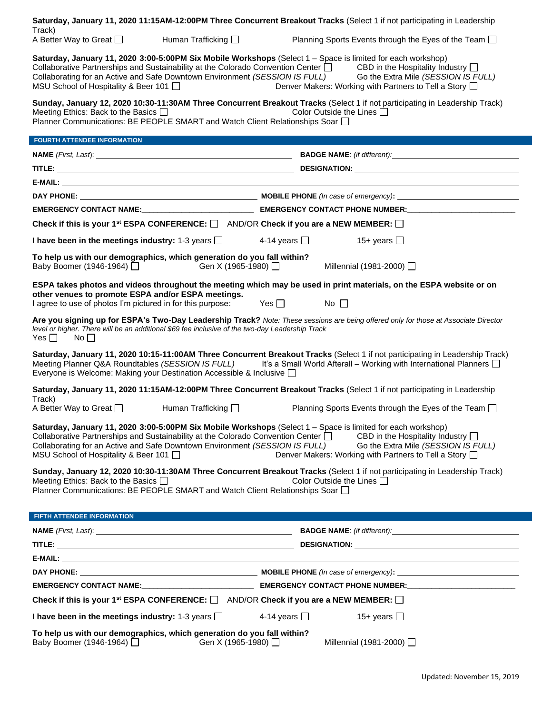|                                                                                                                                                                                                                                                                                                                                                                                                                                                                            | Saturday, January 11, 2020 11:15AM-12:00PM Three Concurrent Breakout Tracks (Select 1 if not participating in Leadership                                  |  |  |  |  |  |  |  |  |
|----------------------------------------------------------------------------------------------------------------------------------------------------------------------------------------------------------------------------------------------------------------------------------------------------------------------------------------------------------------------------------------------------------------------------------------------------------------------------|-----------------------------------------------------------------------------------------------------------------------------------------------------------|--|--|--|--|--|--|--|--|
| Track)<br>A Better Way to Great □<br>Human Trafficking $\Box$                                                                                                                                                                                                                                                                                                                                                                                                              | Planning Sports Events through the Eyes of the Team □                                                                                                     |  |  |  |  |  |  |  |  |
| Saturday, January 11, 2020 3:00-5:00PM Six Mobile Workshops (Select 1 - Space is limited for each workshop)<br>Collaborative Partnerships and Sustainability at the Colorado Convention Center $\square$ CBD in the Hospitality Industry $\square$<br>Collaborating for an Active and Safe Downtown Environment (SESSION IS FULL)<br>Go the Extra Mile (SESSION IS FULL)<br>MSU School of Hospitality & Beer 101<br>Denver Makers: Working with Partners to Tell a Story □ |                                                                                                                                                           |  |  |  |  |  |  |  |  |
| Sunday, January 12, 2020 10:30-11:30AM Three Concurrent Breakout Tracks (Select 1 if not participating in Leadership Track)<br>Meeting Ethics: Back to the Basics $\Box$<br>Color Outside the Lines $\Box$<br>Planner Communications: BE PEOPLE SMART and Watch Client Relationships Soar □                                                                                                                                                                                |                                                                                                                                                           |  |  |  |  |  |  |  |  |
| <b>FOURTH ATTENDEE INFORMATION</b>                                                                                                                                                                                                                                                                                                                                                                                                                                         |                                                                                                                                                           |  |  |  |  |  |  |  |  |
|                                                                                                                                                                                                                                                                                                                                                                                                                                                                            |                                                                                                                                                           |  |  |  |  |  |  |  |  |
|                                                                                                                                                                                                                                                                                                                                                                                                                                                                            |                                                                                                                                                           |  |  |  |  |  |  |  |  |
|                                                                                                                                                                                                                                                                                                                                                                                                                                                                            |                                                                                                                                                           |  |  |  |  |  |  |  |  |
|                                                                                                                                                                                                                                                                                                                                                                                                                                                                            |                                                                                                                                                           |  |  |  |  |  |  |  |  |
|                                                                                                                                                                                                                                                                                                                                                                                                                                                                            |                                                                                                                                                           |  |  |  |  |  |  |  |  |
| Check if this is your 1 <sup>st</sup> ESPA CONFERENCE: $\square$ AND/OR Check if you are a NEW MEMBER: $\square$                                                                                                                                                                                                                                                                                                                                                           |                                                                                                                                                           |  |  |  |  |  |  |  |  |
| I have been in the meetings industry: 1-3 years $\Box$                                                                                                                                                                                                                                                                                                                                                                                                                     | 4-14 years $\Box$<br>15+ years $\Box$                                                                                                                     |  |  |  |  |  |  |  |  |
| To help us with our demographics, which generation do you fall within?<br>Baby Boomer (1946-1964) □<br>Gen X (1965-1980) $\Box$                                                                                                                                                                                                                                                                                                                                            | Millennial (1981-2000) □                                                                                                                                  |  |  |  |  |  |  |  |  |
| other venues to promote ESPA and/or ESPA meetings.<br>I agree to use of photos I'm pictured in for this purpose:                                                                                                                                                                                                                                                                                                                                                           | ESPA takes photos and videos throughout the meeting which may be used in print materials, on the ESPA website or on<br>$\mathsf{Yes} \ \Box$<br>No $\Box$ |  |  |  |  |  |  |  |  |
| Are you signing up for ESPA's Two-Day Leadership Track? Note: These sessions are being offered only for those at Associate Director<br>level or higher. There will be an additional \$69 fee inclusive of the two-day Leadership Track<br>$Yes \Box$ No $\Box$                                                                                                                                                                                                             |                                                                                                                                                           |  |  |  |  |  |  |  |  |
| Saturday, January 11, 2020 10:15-11:00AM Three Concurrent Breakout Tracks (Select 1 if not participating in Leadership Track)<br>Meeting Planner Q&A Roundtables (SESSION IS FULL) It's a Small World Afterall – Working with International Planners $\Box$<br>Everyone is Welcome: Making your Destination Accessible & Inclusive □                                                                                                                                       |                                                                                                                                                           |  |  |  |  |  |  |  |  |
|                                                                                                                                                                                                                                                                                                                                                                                                                                                                            | Saturday, January 11, 2020 11:15AM-12:00PM Three Concurrent Breakout Tracks (Select 1 if not participating in Leadership                                  |  |  |  |  |  |  |  |  |
| Track)<br>A Better Way to Great $\Box$<br>Human Trafficking $\square$                                                                                                                                                                                                                                                                                                                                                                                                      | Planning Sports Events through the Eyes of the Team □                                                                                                     |  |  |  |  |  |  |  |  |
| Saturday, January 11, 2020 3:00-5:00PM Six Mobile Workshops (Select 1 - Space is limited for each workshop)<br>Collaborative Partnerships and Sustainability at the Colorado Convention Center $\Box$<br>CBD in the Hospitality Industry $\Box$<br>Collaborating for an Active and Safe Downtown Environment (SESSION IS FULL)<br>Go the Extra Mile (SESSION IS FULL)<br>MSU School of Hospitality & Beer 101 □<br>Denver Makers: Working with Partners to Tell a Story □  |                                                                                                                                                           |  |  |  |  |  |  |  |  |
| Sunday, January 12, 2020 10:30-11:30AM Three Concurrent Breakout Tracks (Select 1 if not participating in Leadership Track)<br>Meeting Ethics: Back to the Basics $\Box$<br>Color Outside the Lines $\Box$<br>Planner Communications: BE PEOPLE SMART and Watch Client Relationships Soar □                                                                                                                                                                                |                                                                                                                                                           |  |  |  |  |  |  |  |  |
| FIFTH ATTENDEE INFORMATION                                                                                                                                                                                                                                                                                                                                                                                                                                                 |                                                                                                                                                           |  |  |  |  |  |  |  |  |
|                                                                                                                                                                                                                                                                                                                                                                                                                                                                            |                                                                                                                                                           |  |  |  |  |  |  |  |  |
|                                                                                                                                                                                                                                                                                                                                                                                                                                                                            |                                                                                                                                                           |  |  |  |  |  |  |  |  |
|                                                                                                                                                                                                                                                                                                                                                                                                                                                                            |                                                                                                                                                           |  |  |  |  |  |  |  |  |
|                                                                                                                                                                                                                                                                                                                                                                                                                                                                            |                                                                                                                                                           |  |  |  |  |  |  |  |  |
|                                                                                                                                                                                                                                                                                                                                                                                                                                                                            |                                                                                                                                                           |  |  |  |  |  |  |  |  |
| Check if this is your 1 <sup>st</sup> ESPA CONFERENCE: $\Box$ AND/OR Check if you are a NEW MEMBER: $\Box$                                                                                                                                                                                                                                                                                                                                                                 |                                                                                                                                                           |  |  |  |  |  |  |  |  |
| I have been in the meetings industry: 1-3 years $\Box$                                                                                                                                                                                                                                                                                                                                                                                                                     | 4-14 years $\Box$<br>15+ years $\Box$                                                                                                                     |  |  |  |  |  |  |  |  |
| To help us with our demographics, which generation do you fall within?<br>Baby Boomer (1946-1964) □<br>Gen X (1965-1980) □                                                                                                                                                                                                                                                                                                                                                 | Millennial (1981-2000) □                                                                                                                                  |  |  |  |  |  |  |  |  |